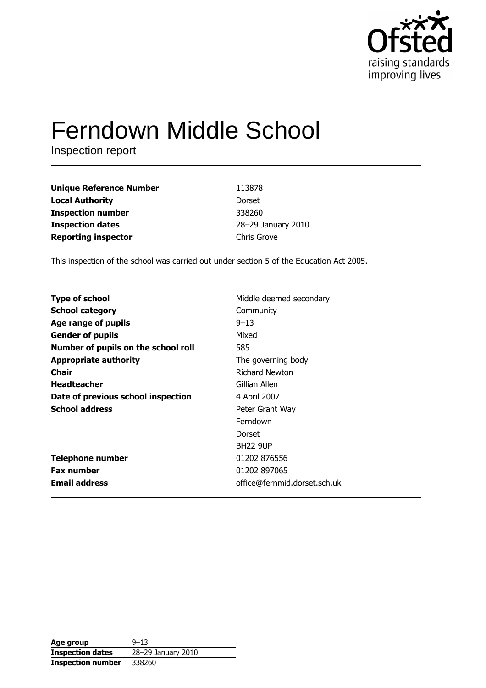

# **Ferndown Middle School**

Inspection report

| <b>Unique Reference Number</b> | 113878             |
|--------------------------------|--------------------|
| <b>Local Authority</b>         | Dorset             |
| <b>Inspection number</b>       | 338260             |
| <b>Inspection dates</b>        | 28-29 January 2010 |
| <b>Reporting inspector</b>     | Chris Grove        |

This inspection of the school was carried out under section 5 of the Education Act 2005.

| <b>Type of school</b>               | Middle deemed secondary      |
|-------------------------------------|------------------------------|
| <b>School category</b>              | Community                    |
| Age range of pupils                 | $9 - 13$                     |
| <b>Gender of pupils</b>             | Mixed                        |
| Number of pupils on the school roll | 585                          |
| <b>Appropriate authority</b>        | The governing body           |
| Chair                               | Richard Newton               |
| <b>Headteacher</b>                  | Gillian Allen                |
| Date of previous school inspection  | 4 April 2007                 |
| <b>School address</b>               | Peter Grant Way              |
|                                     | Ferndown                     |
|                                     | Dorset                       |
|                                     | <b>BH22 9UP</b>              |
| <b>Telephone number</b>             | 01202 876556                 |
| <b>Fax number</b>                   | 01202 897065                 |
| <b>Email address</b>                | office@fernmid.dorset.sch.uk |

| Age group                | $9 - 13$           |
|--------------------------|--------------------|
| <b>Inspection dates</b>  | 28-29 January 2010 |
| <b>Inspection number</b> | 338260             |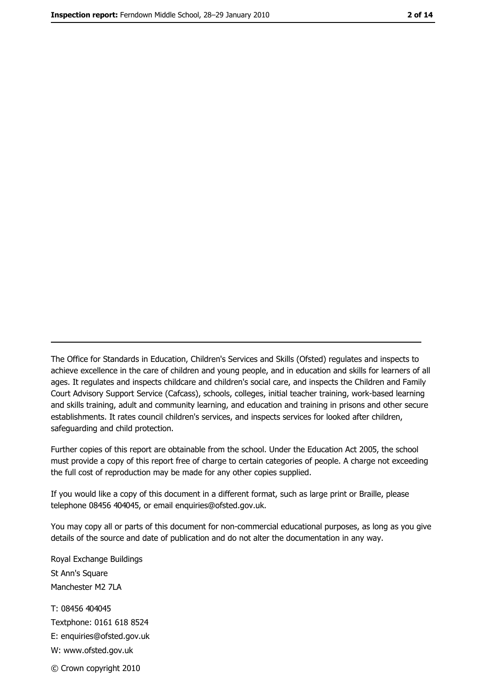The Office for Standards in Education, Children's Services and Skills (Ofsted) regulates and inspects to achieve excellence in the care of children and young people, and in education and skills for learners of all ages. It regulates and inspects childcare and children's social care, and inspects the Children and Family Court Advisory Support Service (Cafcass), schools, colleges, initial teacher training, work-based learning and skills training, adult and community learning, and education and training in prisons and other secure establishments. It rates council children's services, and inspects services for looked after children, safequarding and child protection.

Further copies of this report are obtainable from the school. Under the Education Act 2005, the school must provide a copy of this report free of charge to certain categories of people. A charge not exceeding the full cost of reproduction may be made for any other copies supplied.

If you would like a copy of this document in a different format, such as large print or Braille, please telephone 08456 404045, or email enquiries@ofsted.gov.uk.

You may copy all or parts of this document for non-commercial educational purposes, as long as you give details of the source and date of publication and do not alter the documentation in any way.

Royal Exchange Buildings St Ann's Square Manchester M2 7LA T: 08456 404045 Textphone: 0161 618 8524 E: enquiries@ofsted.gov.uk W: www.ofsted.gov.uk © Crown copyright 2010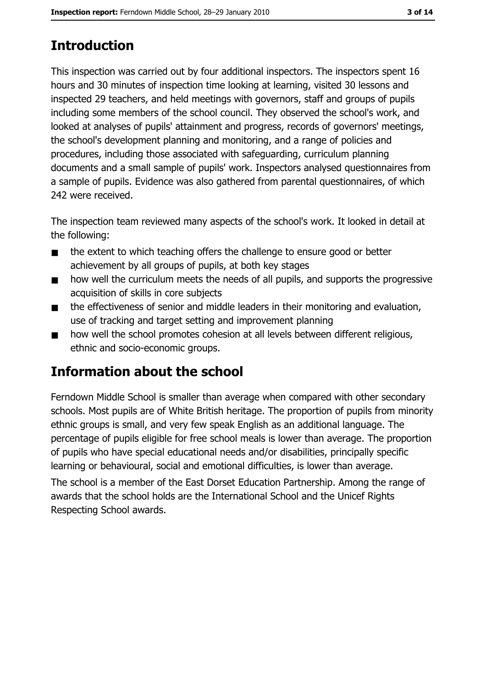# **Introduction**

This inspection was carried out by four additional inspectors. The inspectors spent 16 hours and 30 minutes of inspection time looking at learning, visited 30 lessons and inspected 29 teachers, and held meetings with governors, staff and groups of pupils including some members of the school council. They observed the school's work, and looked at analyses of pupils' attainment and progress, records of governors' meetings, the school's development planning and monitoring, and a range of policies and procedures, including those associated with safeguarding, curriculum planning documents and a small sample of pupils' work. Inspectors analysed questionnaires from a sample of pupils. Evidence was also gathered from parental questionnaires, of which 242 were received.

The inspection team reviewed many aspects of the school's work. It looked in detail at the following:

- the extent to which teaching offers the challenge to ensure good or better  $\blacksquare$ achievement by all groups of pupils, at both key stages
- how well the curriculum meets the needs of all pupils, and supports the progressive  $\blacksquare$ acquisition of skills in core subjects
- the effectiveness of senior and middle leaders in their monitoring and evaluation,  $\blacksquare$ use of tracking and target setting and improvement planning
- how well the school promotes cohesion at all levels between different religious,  $\blacksquare$ ethnic and socio-economic groups.

# Information about the school

Ferndown Middle School is smaller than average when compared with other secondary schools. Most pupils are of White British heritage. The proportion of pupils from minority ethnic groups is small, and very few speak English as an additional language. The percentage of pupils eligible for free school meals is lower than average. The proportion of pupils who have special educational needs and/or disabilities, principally specific learning or behavioural, social and emotional difficulties, is lower than average.

The school is a member of the East Dorset Education Partnership. Among the range of awards that the school holds are the International School and the Unicef Rights Respecting School awards.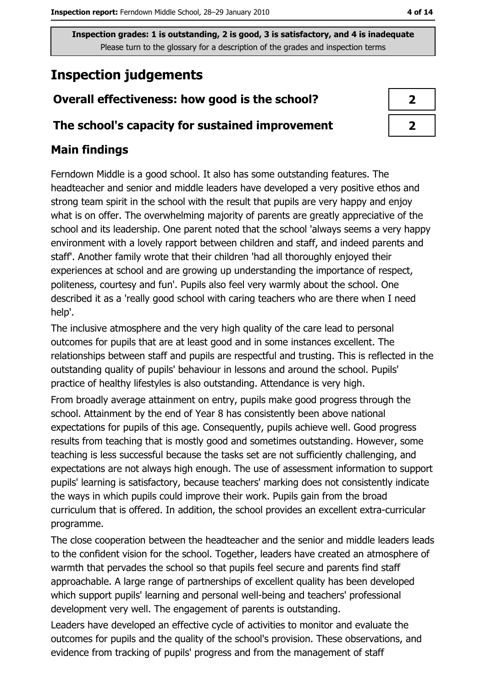# **Inspection judgements**

# Overall effectiveness: how good is the school?

### The school's capacity for sustained improvement

## **Main findings**

Ferndown Middle is a good school. It also has some outstanding features. The headteacher and senior and middle leaders have developed a very positive ethos and strong team spirit in the school with the result that pupils are very happy and enjoy what is on offer. The overwhelming majority of parents are greatly appreciative of the school and its leadership. One parent noted that the school 'always seems a very happy environment with a lovely rapport between children and staff, and indeed parents and staff'. Another family wrote that their children 'had all thoroughly enjoyed their experiences at school and are growing up understanding the importance of respect, politeness, courtesy and fun'. Pupils also feel very warmly about the school. One described it as a 'really good school with caring teachers who are there when I need help'.

The inclusive atmosphere and the very high quality of the care lead to personal outcomes for pupils that are at least good and in some instances excellent. The relationships between staff and pupils are respectful and trusting. This is reflected in the outstanding quality of pupils' behaviour in lessons and around the school. Pupils' practice of healthy lifestyles is also outstanding. Attendance is very high.

From broadly average attainment on entry, pupils make good progress through the school. Attainment by the end of Year 8 has consistently been above national expectations for pupils of this age. Consequently, pupils achieve well. Good progress results from teaching that is mostly good and sometimes outstanding. However, some teaching is less successful because the tasks set are not sufficiently challenging, and expectations are not always high enough. The use of assessment information to support pupils' learning is satisfactory, because teachers' marking does not consistently indicate the ways in which pupils could improve their work. Pupils gain from the broad curriculum that is offered. In addition, the school provides an excellent extra-curricular programme.

The close cooperation between the headteacher and the senior and middle leaders leads to the confident vision for the school. Together, leaders have created an atmosphere of warmth that pervades the school so that pupils feel secure and parents find staff approachable. A large range of partnerships of excellent quality has been developed which support pupils' learning and personal well-being and teachers' professional development very well. The engagement of parents is outstanding.

Leaders have developed an effective cycle of activities to monitor and evaluate the outcomes for pupils and the quality of the school's provision. These observations, and evidence from tracking of pupils' progress and from the management of staff

| 2 |  |
|---|--|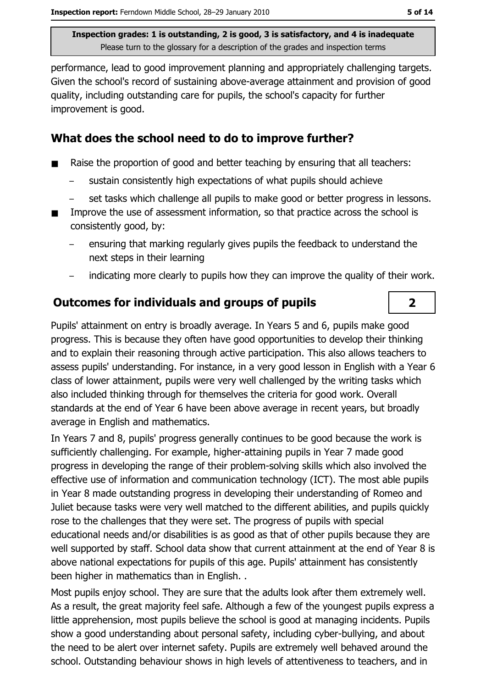performance, lead to good improvement planning and appropriately challenging targets. Given the school's record of sustaining above-average attainment and provision of good quality, including outstanding care for pupils, the school's capacity for further improvement is good.

### What does the school need to do to improve further?

- Raise the proportion of good and better teaching by ensuring that all teachers:  $\blacksquare$ 
	- sustain consistently high expectations of what pupils should achieve
	- set tasks which challenge all pupils to make good or better progress in lessons.
- Improve the use of assessment information, so that practice across the school is consistently good, by:
	- ensuring that marking regularly gives pupils the feedback to understand the next steps in their learning
	- indicating more clearly to pupils how they can improve the quality of their work.

### Outcomes for individuals and groups of pupils

Pupils' attainment on entry is broadly average. In Years 5 and 6, pupils make good progress. This is because they often have good opportunities to develop their thinking and to explain their reasoning through active participation. This also allows teachers to assess pupils' understanding. For instance, in a very good lesson in English with a Year 6 class of lower attainment, pupils were very well challenged by the writing tasks which also included thinking through for themselves the criteria for good work. Overall standards at the end of Year 6 have been above average in recent years, but broadly average in English and mathematics.

In Years 7 and 8, pupils' progress generally continues to be good because the work is sufficiently challenging. For example, higher-attaining pupils in Year 7 made good progress in developing the range of their problem-solving skills which also involved the effective use of information and communication technology (ICT). The most able pupils in Year 8 made outstanding progress in developing their understanding of Romeo and Juliet because tasks were very well matched to the different abilities, and pupils quickly rose to the challenges that they were set. The progress of pupils with special educational needs and/or disabilities is as good as that of other pupils because they are well supported by staff. School data show that current attainment at the end of Year 8 is above national expectations for pupils of this age. Pupils' attainment has consistently been higher in mathematics than in English..

Most pupils enjoy school. They are sure that the adults look after them extremely well. As a result, the great majority feel safe. Although a few of the youngest pupils express a little apprehension, most pupils believe the school is good at managing incidents. Pupils show a good understanding about personal safety, including cyber-bullying, and about the need to be alert over internet safety. Pupils are extremely well behaved around the school. Outstanding behaviour shows in high levels of attentiveness to teachers, and in

 $\overline{2}$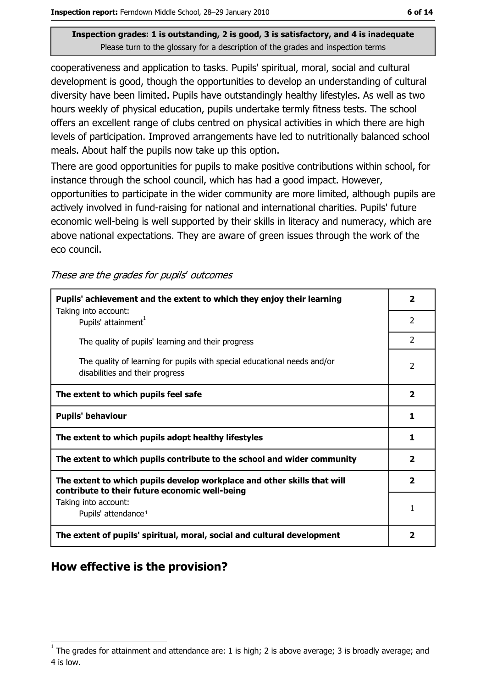cooperativeness and application to tasks. Pupils' spiritual, moral, social and cultural development is good, though the opportunities to develop an understanding of cultural diversity have been limited. Pupils have outstandingly healthy lifestyles. As well as two hours weekly of physical education, pupils undertake termly fitness tests. The school offers an excellent range of clubs centred on physical activities in which there are high levels of participation. Improved arrangements have led to nutritionally balanced school meals. About half the pupils now take up this option.

There are good opportunities for pupils to make positive contributions within school, for instance through the school council, which has had a good impact. However, opportunities to participate in the wider community are more limited, although pupils are actively involved in fund-raising for national and international charities. Pupils' future economic well-being is well supported by their skills in literacy and numeracy, which are above national expectations. They are aware of green issues through the work of the eco council.

These are the grades for pupils' outcomes

| Pupils' achievement and the extent to which they enjoy their learning                                                     |               |  |
|---------------------------------------------------------------------------------------------------------------------------|---------------|--|
| Taking into account:<br>Pupils' attainment <sup>1</sup>                                                                   | 2             |  |
| The quality of pupils' learning and their progress                                                                        | $\mathcal{P}$ |  |
| The quality of learning for pupils with special educational needs and/or<br>disabilities and their progress               |               |  |
| The extent to which pupils feel safe                                                                                      |               |  |
| <b>Pupils' behaviour</b>                                                                                                  |               |  |
| The extent to which pupils adopt healthy lifestyles                                                                       |               |  |
| The extent to which pupils contribute to the school and wider community                                                   |               |  |
| The extent to which pupils develop workplace and other skills that will<br>contribute to their future economic well-being |               |  |
| Taking into account:<br>Pupils' attendance <sup>1</sup>                                                                   |               |  |
| The extent of pupils' spiritual, moral, social and cultural development                                                   |               |  |

### How effective is the provision?

The grades for attainment and attendance are: 1 is high; 2 is above average; 3 is broadly average; and 4 is low.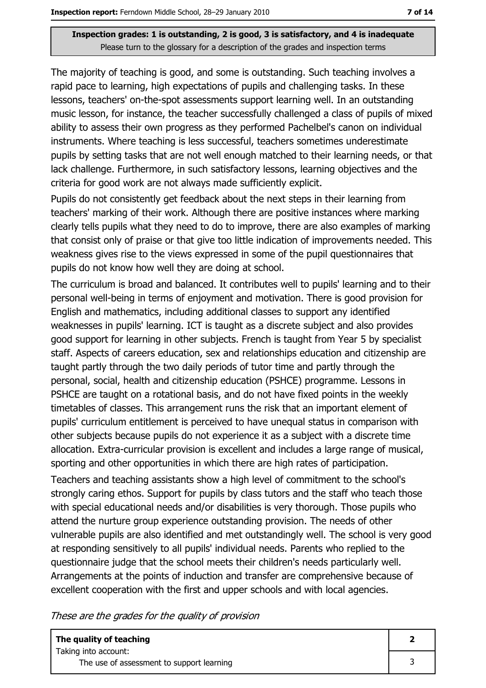The majority of teaching is good, and some is outstanding. Such teaching involves a rapid pace to learning, high expectations of pupils and challenging tasks. In these lessons, teachers' on-the-spot assessments support learning well. In an outstanding music lesson, for instance, the teacher successfully challenged a class of pupils of mixed ability to assess their own progress as they performed Pachelbel's canon on individual instruments. Where teaching is less successful, teachers sometimes underestimate pupils by setting tasks that are not well enough matched to their learning needs, or that lack challenge. Furthermore, in such satisfactory lessons, learning objectives and the criteria for good work are not always made sufficiently explicit.

Pupils do not consistently get feedback about the next steps in their learning from teachers' marking of their work. Although there are positive instances where marking clearly tells pupils what they need to do to improve, there are also examples of marking that consist only of praise or that give too little indication of improvements needed. This weakness gives rise to the views expressed in some of the pupil questionnaires that pupils do not know how well they are doing at school.

The curriculum is broad and balanced. It contributes well to pupils' learning and to their personal well-being in terms of enjoyment and motivation. There is good provision for English and mathematics, including additional classes to support any identified weaknesses in pupils' learning. ICT is taught as a discrete subject and also provides good support for learning in other subjects. French is taught from Year 5 by specialist staff. Aspects of careers education, sex and relationships education and citizenship are taught partly through the two daily periods of tutor time and partly through the personal, social, health and citizenship education (PSHCE) programme. Lessons in PSHCE are taught on a rotational basis, and do not have fixed points in the weekly timetables of classes. This arrangement runs the risk that an important element of pupils' curriculum entitlement is perceived to have unequal status in comparison with other subjects because pupils do not experience it as a subject with a discrete time allocation. Extra-curricular provision is excellent and includes a large range of musical, sporting and other opportunities in which there are high rates of participation.

Teachers and teaching assistants show a high level of commitment to the school's strongly caring ethos. Support for pupils by class tutors and the staff who teach those with special educational needs and/or disabilities is very thorough. Those pupils who attend the nurture group experience outstanding provision. The needs of other vulnerable pupils are also identified and met outstandingly well. The school is very good at responding sensitively to all pupils' individual needs. Parents who replied to the questionnaire judge that the school meets their children's needs particularly well. Arrangements at the points of induction and transfer are comprehensive because of excellent cooperation with the first and upper schools and with local agencies.

These are the grades for the quality of provision

| The quality of teaching                   |  |
|-------------------------------------------|--|
| Taking into account:                      |  |
| The use of assessment to support learning |  |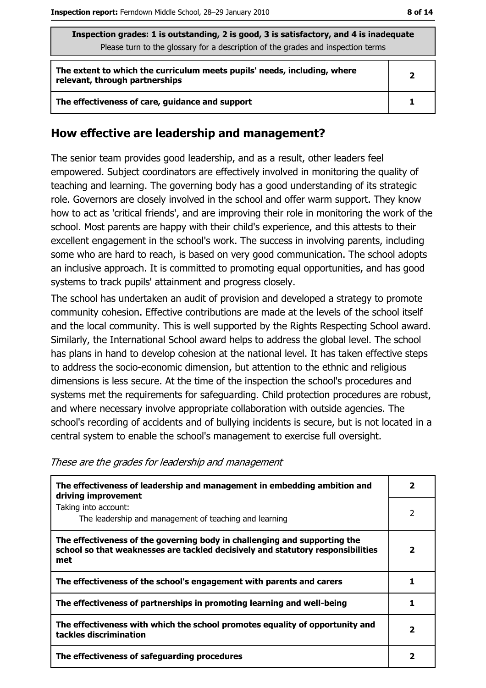| Inspection grades: 1 is outstanding, 2 is good, 3 is satisfactory, and 4 is inadequate<br>Please turn to the glossary for a description of the grades and inspection terms |   |  |
|----------------------------------------------------------------------------------------------------------------------------------------------------------------------------|---|--|
| The extent to which the curriculum meets pupils' needs, including, where<br>relevant, through partnerships                                                                 | 2 |  |
| The effectiveness of care, guidance and support                                                                                                                            |   |  |

#### How effective are leadership and management?

The senior team provides good leadership, and as a result, other leaders feel empowered. Subject coordinators are effectively involved in monitoring the quality of teaching and learning. The governing body has a good understanding of its strategic role. Governors are closely involved in the school and offer warm support. They know how to act as 'critical friends', and are improving their role in monitoring the work of the school. Most parents are happy with their child's experience, and this attests to their excellent engagement in the school's work. The success in involving parents, including some who are hard to reach, is based on very good communication. The school adopts an inclusive approach. It is committed to promoting equal opportunities, and has good systems to track pupils' attainment and progress closely.

The school has undertaken an audit of provision and developed a strategy to promote community cohesion. Effective contributions are made at the levels of the school itself and the local community. This is well supported by the Rights Respecting School award. Similarly, the International School award helps to address the global level. The school has plans in hand to develop cohesion at the national level. It has taken effective steps to address the socio-economic dimension, but attention to the ethnic and religious dimensions is less secure. At the time of the inspection the school's procedures and systems met the requirements for safeguarding. Child protection procedures are robust, and where necessary involve appropriate collaboration with outside agencies. The school's recording of accidents and of bullying incidents is secure, but is not located in a central system to enable the school's management to exercise full oversight.

These are the grades for leadership and management

| The effectiveness of leadership and management in embedding ambition and<br>driving improvement                                                                     |   |  |
|---------------------------------------------------------------------------------------------------------------------------------------------------------------------|---|--|
| Taking into account:<br>The leadership and management of teaching and learning                                                                                      | 2 |  |
| The effectiveness of the governing body in challenging and supporting the<br>school so that weaknesses are tackled decisively and statutory responsibilities<br>met | 2 |  |
| The effectiveness of the school's engagement with parents and carers                                                                                                |   |  |
| The effectiveness of partnerships in promoting learning and well-being                                                                                              |   |  |
| The effectiveness with which the school promotes equality of opportunity and<br>tackles discrimination                                                              | 2 |  |
| The effectiveness of safeguarding procedures                                                                                                                        |   |  |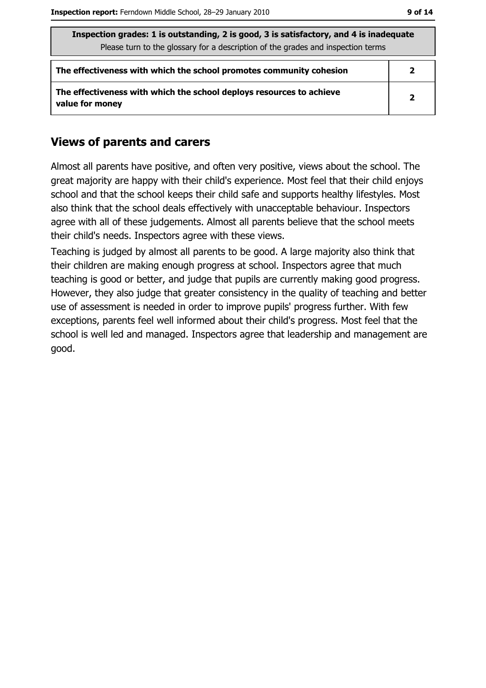| Inspection grades: 1 is outstanding, 2 is good, 3 is satisfactory, and 4 is inadequate<br>Please turn to the glossary for a description of the grades and inspection terms |                         |  |
|----------------------------------------------------------------------------------------------------------------------------------------------------------------------------|-------------------------|--|
| The effectiveness with which the school promotes community cohesion                                                                                                        | $\overline{\mathbf{2}}$ |  |
| The effectiveness with which the school deploys resources to achieve<br>value for money                                                                                    | $\overline{2}$          |  |

## **Views of parents and carers**

Almost all parents have positive, and often very positive, views about the school. The great majority are happy with their child's experience. Most feel that their child enjoys school and that the school keeps their child safe and supports healthy lifestyles. Most also think that the school deals effectively with unacceptable behaviour. Inspectors agree with all of these judgements. Almost all parents believe that the school meets their child's needs. Inspectors agree with these views.

Teaching is judged by almost all parents to be good. A large majority also think that their children are making enough progress at school. Inspectors agree that much teaching is good or better, and judge that pupils are currently making good progress. However, they also judge that greater consistency in the quality of teaching and better use of assessment is needed in order to improve pupils' progress further. With few exceptions, parents feel well informed about their child's progress. Most feel that the school is well led and managed. Inspectors agree that leadership and management are good.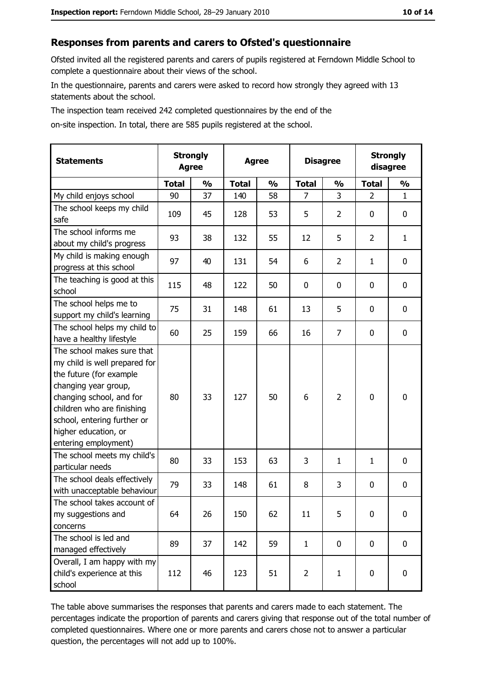#### Responses from parents and carers to Ofsted's questionnaire

Ofsted invited all the registered parents and carers of pupils registered at Ferndown Middle School to complete a questionnaire about their views of the school.

In the questionnaire, parents and carers were asked to record how strongly they agreed with 13 statements about the school.

The inspection team received 242 completed questionnaires by the end of the

on-site inspection. In total, there are 585 pupils registered at the school.

| <b>Statements</b>                                                                                                                                                                                                                                       | <b>Strongly</b><br><b>Agree</b> |               | <b>Agree</b> |               | <b>Disagree</b> |                | <b>Strongly</b><br>disagree |               |
|---------------------------------------------------------------------------------------------------------------------------------------------------------------------------------------------------------------------------------------------------------|---------------------------------|---------------|--------------|---------------|-----------------|----------------|-----------------------------|---------------|
|                                                                                                                                                                                                                                                         | <b>Total</b>                    | $\frac{0}{0}$ | <b>Total</b> | $\frac{0}{0}$ | <b>Total</b>    | $\frac{0}{0}$  | <b>Total</b>                | $\frac{1}{2}$ |
| My child enjoys school                                                                                                                                                                                                                                  | 90                              | 37            | 140          | 58            | $\overline{7}$  | 3              | $\overline{2}$              | $\mathbf{1}$  |
| The school keeps my child<br>safe                                                                                                                                                                                                                       | 109                             | 45            | 128          | 53            | 5               | $\overline{2}$ | 0                           | 0             |
| The school informs me<br>about my child's progress                                                                                                                                                                                                      | 93                              | 38            | 132          | 55            | 12              | 5              | $\overline{2}$              | $\mathbf{1}$  |
| My child is making enough<br>progress at this school                                                                                                                                                                                                    | 97                              | 40            | 131          | 54            | 6               | 2              | 1                           | 0             |
| The teaching is good at this<br>school                                                                                                                                                                                                                  | 115                             | 48            | 122          | 50            | 0               | 0              | 0                           | $\mathbf 0$   |
| The school helps me to<br>support my child's learning                                                                                                                                                                                                   | 75                              | 31            | 148          | 61            | 13              | 5              | 0                           | $\mathbf 0$   |
| The school helps my child to<br>have a healthy lifestyle                                                                                                                                                                                                | 60                              | 25            | 159          | 66            | 16              | 7              | 0                           | 0             |
| The school makes sure that<br>my child is well prepared for<br>the future (for example<br>changing year group,<br>changing school, and for<br>children who are finishing<br>school, entering further or<br>higher education, or<br>entering employment) | 80                              | 33            | 127          | 50            | 6               | $\overline{2}$ | 0                           | $\mathbf 0$   |
| The school meets my child's<br>particular needs                                                                                                                                                                                                         | 80                              | 33            | 153          | 63            | 3               | 1              | 1                           | $\mathbf 0$   |
| The school deals effectively<br>with unacceptable behaviour                                                                                                                                                                                             | 79                              | 33            | 148          | 61            | 8               | 3              | 0                           | 0             |
| The school takes account of<br>my suggestions and<br>concerns                                                                                                                                                                                           | 64                              | 26            | 150          | 62            | 11              | 5              | 0                           | 0             |
| The school is led and<br>managed effectively                                                                                                                                                                                                            | 89                              | 37            | 142          | 59            | $\mathbf{1}$    | 0              | 0                           | $\mathbf 0$   |
| Overall, I am happy with my<br>child's experience at this<br>school                                                                                                                                                                                     | 112                             | 46            | 123          | 51            | $\overline{2}$  | $\mathbf{1}$   | 0                           | $\mathbf 0$   |

The table above summarises the responses that parents and carers made to each statement. The percentages indicate the proportion of parents and carers giving that response out of the total number of completed questionnaires. Where one or more parents and carers chose not to answer a particular question, the percentages will not add up to 100%.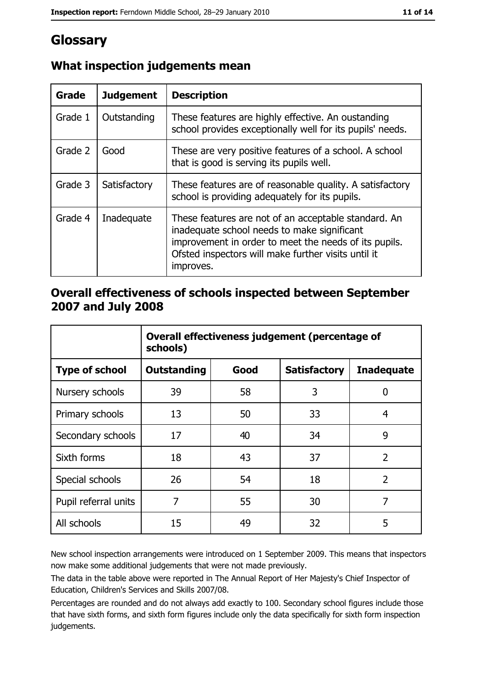# Glossary

| Grade   | <b>Judgement</b> | <b>Description</b>                                                                                                                                                                                                               |
|---------|------------------|----------------------------------------------------------------------------------------------------------------------------------------------------------------------------------------------------------------------------------|
| Grade 1 | Outstanding      | These features are highly effective. An oustanding<br>school provides exceptionally well for its pupils' needs.                                                                                                                  |
| Grade 2 | Good             | These are very positive features of a school. A school<br>that is good is serving its pupils well.                                                                                                                               |
| Grade 3 | Satisfactory     | These features are of reasonable quality. A satisfactory<br>school is providing adequately for its pupils.                                                                                                                       |
| Grade 4 | Inadequate       | These features are not of an acceptable standard. An<br>inadequate school needs to make significant<br>improvement in order to meet the needs of its pupils.<br>Ofsted inspectors will make further visits until it<br>improves. |

# What inspection judgements mean

## Overall effectiveness of schools inspected between September 2007 and July 2008

|                       | Overall effectiveness judgement (percentage of<br>schools) |      |                     |                   |  |
|-----------------------|------------------------------------------------------------|------|---------------------|-------------------|--|
| <b>Type of school</b> | Outstanding                                                | Good | <b>Satisfactory</b> | <b>Inadequate</b> |  |
| Nursery schools       | 39                                                         | 58   | 3                   | 0                 |  |
| Primary schools       | 13                                                         | 50   | 33                  | 4                 |  |
| Secondary schools     | 17                                                         | 40   | 34                  | 9                 |  |
| Sixth forms           | 18                                                         | 43   | 37                  | $\overline{2}$    |  |
| Special schools       | 26                                                         | 54   | 18                  | $\overline{2}$    |  |
| Pupil referral units  | 7                                                          | 55   | 30                  | 7                 |  |
| All schools           | 15                                                         | 49   | 32                  | 5                 |  |

New school inspection arrangements were introduced on 1 September 2009. This means that inspectors now make some additional judgements that were not made previously.

The data in the table above were reported in The Annual Report of Her Majesty's Chief Inspector of Education, Children's Services and Skills 2007/08.

Percentages are rounded and do not always add exactly to 100. Secondary school figures include those that have sixth forms, and sixth form figures include only the data specifically for sixth form inspection judgements.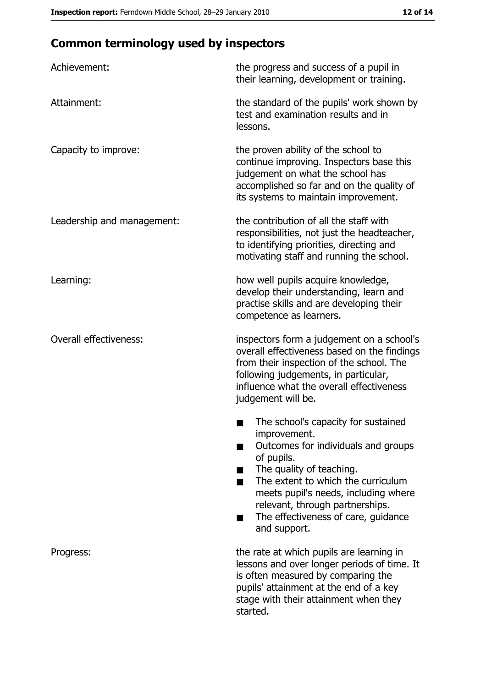# **Common terminology used by inspectors**

| Achievement:                  | the progress and success of a pupil in<br>their learning, development or training.                                                                                                                                                                                                                           |
|-------------------------------|--------------------------------------------------------------------------------------------------------------------------------------------------------------------------------------------------------------------------------------------------------------------------------------------------------------|
| Attainment:                   | the standard of the pupils' work shown by<br>test and examination results and in<br>lessons.                                                                                                                                                                                                                 |
| Capacity to improve:          | the proven ability of the school to<br>continue improving. Inspectors base this<br>judgement on what the school has<br>accomplished so far and on the quality of<br>its systems to maintain improvement.                                                                                                     |
| Leadership and management:    | the contribution of all the staff with<br>responsibilities, not just the headteacher,<br>to identifying priorities, directing and<br>motivating staff and running the school.                                                                                                                                |
| Learning:                     | how well pupils acquire knowledge,<br>develop their understanding, learn and<br>practise skills and are developing their<br>competence as learners.                                                                                                                                                          |
| <b>Overall effectiveness:</b> | inspectors form a judgement on a school's<br>overall effectiveness based on the findings<br>from their inspection of the school. The<br>following judgements, in particular,<br>influence what the overall effectiveness<br>judgement will be.                                                               |
|                               | The school's capacity for sustained<br>improvement.<br>Outcomes for individuals and groups<br>of pupils.<br>The quality of teaching.<br>The extent to which the curriculum<br>meets pupil's needs, including where<br>relevant, through partnerships.<br>The effectiveness of care, guidance<br>and support. |
| Progress:                     | the rate at which pupils are learning in<br>lessons and over longer periods of time. It<br>is often measured by comparing the<br>pupils' attainment at the end of a key<br>stage with their attainment when they<br>started.                                                                                 |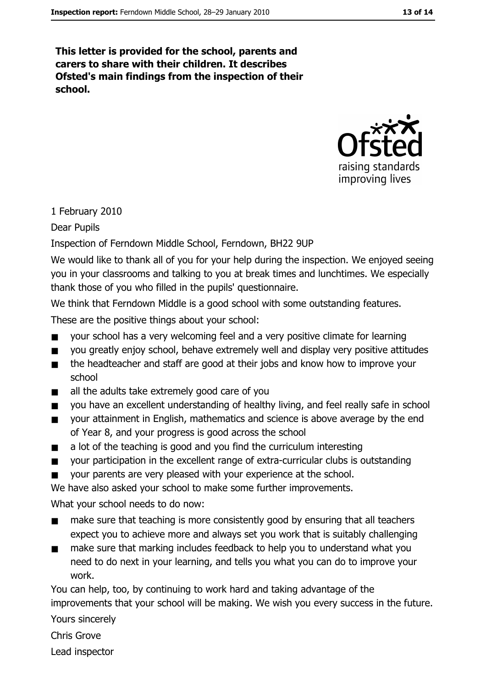This letter is provided for the school, parents and carers to share with their children. It describes Ofsted's main findings from the inspection of their school.



#### 1 February 2010

Dear Pupils

Inspection of Ferndown Middle School, Ferndown, BH22 9UP

We would like to thank all of you for your help during the inspection. We enjoyed seeing you in your classrooms and talking to you at break times and lunchtimes. We especially thank those of you who filled in the pupils' questionnaire.

We think that Ferndown Middle is a good school with some outstanding features.

These are the positive things about your school:

- your school has a very welcoming feel and a very positive climate for learning  $\blacksquare$
- you greatly enjoy school, behave extremely well and display very positive attitudes
- the headteacher and staff are good at their jobs and know how to improve your  $\blacksquare$ school
- all the adults take extremely good care of you  $\blacksquare$
- you have an excellent understanding of healthy living, and feel really safe in school  $\blacksquare$
- your attainment in English, mathematics and science is above average by the end  $\blacksquare$ of Year 8, and your progress is good across the school
- a lot of the teaching is good and you find the curriculum interesting  $\blacksquare$
- your participation in the excellent range of extra-curricular clubs is outstanding  $\blacksquare$
- your parents are very pleased with your experience at the school.  $\blacksquare$

We have also asked your school to make some further improvements.

What your school needs to do now:

- make sure that teaching is more consistently good by ensuring that all teachers  $\blacksquare$ expect you to achieve more and always set you work that is suitably challenging
- $\blacksquare$ make sure that marking includes feedback to help you to understand what you need to do next in your learning, and tells you what you can do to improve your work.

You can help, too, by continuing to work hard and taking advantage of the improvements that your school will be making. We wish you every success in the future.

Yours sincerely

Chris Grove

Lead inspector